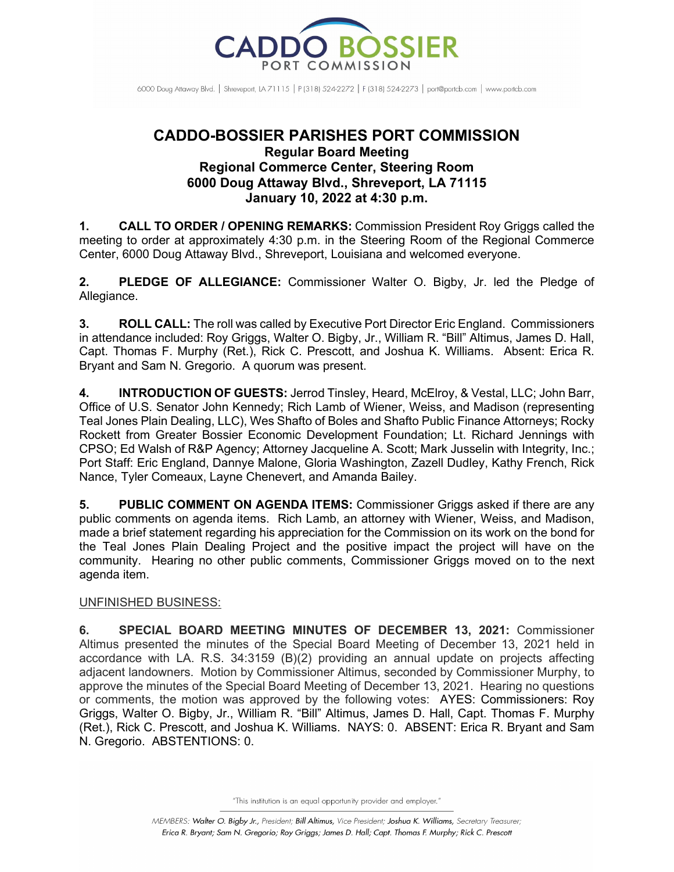

6000 Doug Attaway Blvd. | Shreveport, IA 71115 | P (318) 524-2272 | F (318) 524-2273 | port@portcb.com | www.portcb.com

## **CADDO-BOSSIER PARISHES PORT COMMISSION Regular Board Meeting Regional Commerce Center, Steering Room 6000 Doug Attaway Blvd., Shreveport, LA 71115 January 10, 2022 at 4:30 p.m.**

**1. CALL TO ORDER / OPENING REMARKS:** Commission President Roy Griggs called the meeting to order at approximately 4:30 p.m. in the Steering Room of the Regional Commerce Center, 6000 Doug Attaway Blvd., Shreveport, Louisiana and welcomed everyone.

**2. PLEDGE OF ALLEGIANCE:** Commissioner Walter O. Bigby, Jr. led the Pledge of Allegiance.

**3. ROLL CALL:** The roll was called by Executive Port Director Eric England. Commissioners in attendance included: Roy Griggs, Walter O. Bigby, Jr., William R. "Bill" Altimus, James D. Hall, Capt. Thomas F. Murphy (Ret.), Rick C. Prescott, and Joshua K. Williams. Absent: Erica R. Bryant and Sam N. Gregorio. A quorum was present.

**4. INTRODUCTION OF GUESTS:** Jerrod Tinsley, Heard, McElroy, & Vestal, LLC; John Barr, Office of U.S. Senator John Kennedy; Rich Lamb of Wiener, Weiss, and Madison (representing Teal Jones Plain Dealing, LLC), Wes Shafto of Boles and Shafto Public Finance Attorneys; Rocky Rockett from Greater Bossier Economic Development Foundation; Lt. Richard Jennings with CPSO; Ed Walsh of R&P Agency; Attorney Jacqueline A. Scott; Mark Jusselin with Integrity, Inc.; Port Staff: Eric England, Dannye Malone, Gloria Washington, Zazell Dudley, Kathy French, Rick Nance, Tyler Comeaux, Layne Chenevert, and Amanda Bailey.

**5. PUBLIC COMMENT ON AGENDA ITEMS:** Commissioner Griggs asked if there are any public comments on agenda items. Rich Lamb, an attorney with Wiener, Weiss, and Madison, made a brief statement regarding his appreciation for the Commission on its work on the bond for the Teal Jones Plain Dealing Project and the positive impact the project will have on the community. Hearing no other public comments, Commissioner Griggs moved on to the next agenda item.

## UNFINISHED BUSINESS:

**6. SPECIAL BOARD MEETING MINUTES OF DECEMBER 13, 2021:** Commissioner Altimus presented the minutes of the Special Board Meeting of December 13, 2021 held in accordance with LA. R.S. 34:3159 (B)(2) providing an annual update on projects affecting adjacent landowners. Motion by Commissioner Altimus, seconded by Commissioner Murphy, to approve the minutes of the Special Board Meeting of December 13, 2021. Hearing no questions or comments, the motion was approved by the following votes:AYES: Commissioners: Roy Griggs, Walter O. Bigby, Jr., William R. "Bill" Altimus, James D. Hall, Capt. Thomas F. Murphy (Ret.), Rick C. Prescott, and Joshua K. Williams. NAYS: 0. ABSENT: Erica R. Bryant and Sam N. Gregorio. ABSTENTIONS: 0.

<sup>&</sup>quot;This institution is an equal opportunity provider and employer."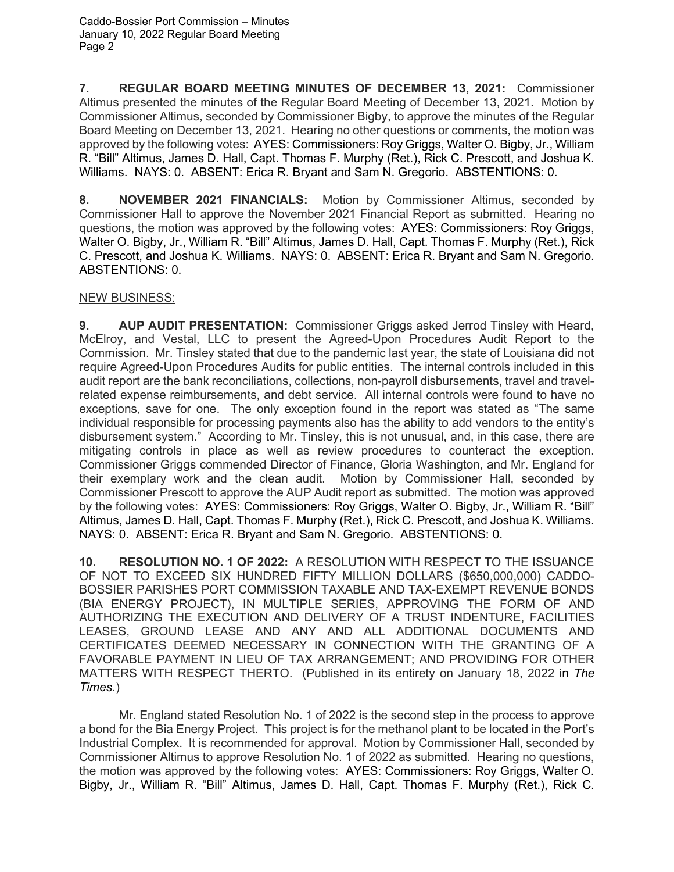Caddo-Bossier Port Commission – Minutes January 10, 2022 Regular Board Meeting Page 2

**7. REGULAR BOARD MEETING MINUTES OF DECEMBER 13, 2021:** Commissioner Altimus presented the minutes of the Regular Board Meeting of December 13, 2021. Motion by Commissioner Altimus, seconded by Commissioner Bigby, to approve the minutes of the Regular Board Meeting on December 13, 2021. Hearing no other questions or comments, the motion was approved by the following votes: AYES: Commissioners: Roy Griggs, Walter O. Bigby, Jr., William R. "Bill" Altimus, James D. Hall, Capt. Thomas F. Murphy (Ret.), Rick C. Prescott, and Joshua K. Williams. NAYS: 0. ABSENT: Erica R. Bryant and Sam N. Gregorio. ABSTENTIONS: 0.

**8. NOVEMBER 2021 FINANCIALS:** Motion by Commissioner Altimus, seconded by Commissioner Hall to approve the November 2021 Financial Report as submitted. Hearing no questions, the motion was approved by the following votes: AYES: Commissioners: Roy Griggs, Walter O. Bigby, Jr., William R. "Bill" Altimus, James D. Hall, Capt. Thomas F. Murphy (Ret.), Rick C. Prescott, and Joshua K. Williams. NAYS: 0. ABSENT: Erica R. Bryant and Sam N. Gregorio. ABSTENTIONS: 0.

## NEW BUSINESS:

**9. AUP AUDIT PRESENTATION:** Commissioner Griggs asked Jerrod Tinsley with Heard, McElroy, and Vestal, LLC to present the Agreed-Upon Procedures Audit Report to the Commission. Mr. Tinsley stated that due to the pandemic last year, the state of Louisiana did not require Agreed-Upon Procedures Audits for public entities. The internal controls included in this audit report are the bank reconciliations, collections, non-payroll disbursements, travel and travelrelated expense reimbursements, and debt service. All internal controls were found to have no exceptions, save for one. The only exception found in the report was stated as "The same individual responsible for processing payments also has the ability to add vendors to the entity's disbursement system." According to Mr. Tinsley, this is not unusual, and, in this case, there are mitigating controls in place as well as review procedures to counteract the exception. Commissioner Griggs commended Director of Finance, Gloria Washington, and Mr. England for their exemplary work and the clean audit. Motion by Commissioner Hall, seconded by Commissioner Prescott to approve the AUP Audit report as submitted. The motion was approved by the following votes: AYES: Commissioners: Roy Griggs, Walter O. Bigby, Jr., William R. "Bill" Altimus, James D. Hall, Capt. Thomas F. Murphy (Ret.), Rick C. Prescott, and Joshua K. Williams. NAYS: 0. ABSENT: Erica R. Bryant and Sam N. Gregorio. ABSTENTIONS: 0.

**10. RESOLUTION NO. 1 OF 2022:** A RESOLUTION WITH RESPECT TO THE ISSUANCE OF NOT TO EXCEED SIX HUNDRED FIFTY MILLION DOLLARS (\$650,000,000) CADDO-BOSSIER PARISHES PORT COMMISSION TAXABLE AND TAX-EXEMPT REVENUE BONDS (BIA ENERGY PROJECT), IN MULTIPLE SERIES, APPROVING THE FORM OF AND AUTHORIZING THE EXECUTION AND DELIVERY OF A TRUST INDENTURE, FACILITIES LEASES, GROUND LEASE AND ANY AND ALL ADDITIONAL DOCUMENTS AND CERTIFICATES DEEMED NECESSARY IN CONNECTION WITH THE GRANTING OF A FAVORABLE PAYMENT IN LIEU OF TAX ARRANGEMENT; AND PROVIDING FOR OTHER MATTERS WITH RESPECT THERTO. (Published in its entirety on January 18, 2022 in *The Times*.)

Mr. England stated Resolution No. 1 of 2022 is the second step in the process to approve a bond for the Bia Energy Project. This project is for the methanol plant to be located in the Port's Industrial Complex. It is recommended for approval. Motion by Commissioner Hall, seconded by Commissioner Altimus to approve Resolution No. 1 of 2022 as submitted. Hearing no questions, the motion was approved by the following votes: AYES: Commissioners: Roy Griggs, Walter O. Bigby, Jr., William R. "Bill" Altimus, James D. Hall, Capt. Thomas F. Murphy (Ret.), Rick C.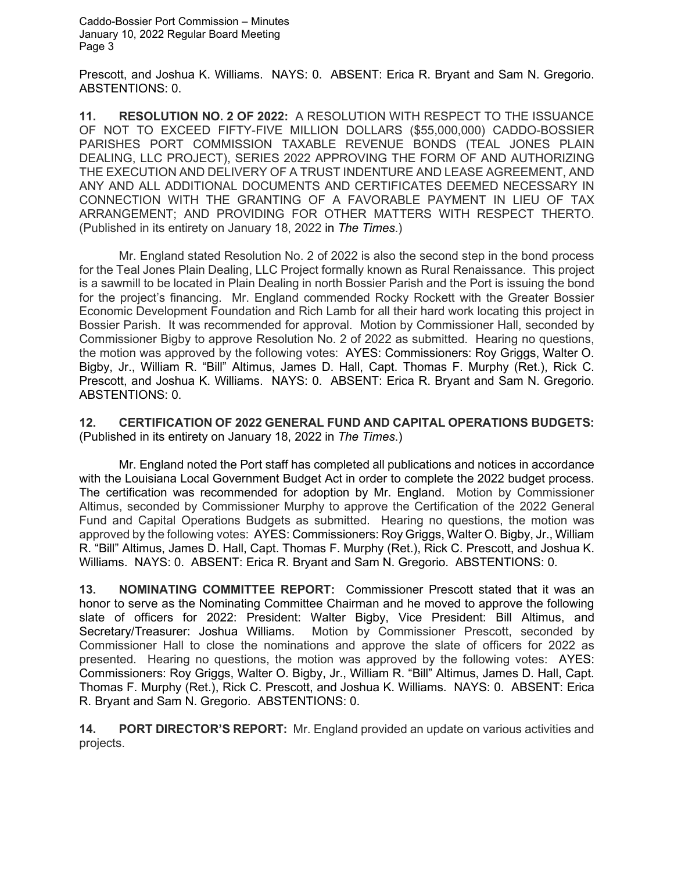Prescott, and Joshua K. Williams. NAYS: 0. ABSENT: Erica R. Bryant and Sam N. Gregorio. ABSTENTIONS: 0.

**11. RESOLUTION NO. 2 OF 2022:** A RESOLUTION WITH RESPECT TO THE ISSUANCE OF NOT TO EXCEED FIFTY-FIVE MILLION DOLLARS (\$55,000,000) CADDO-BOSSIER PARISHES PORT COMMISSION TAXABLE REVENUE BONDS (TEAL JONES PLAIN DEALING, LLC PROJECT), SERIES 2022 APPROVING THE FORM OF AND AUTHORIZING THE EXECUTION AND DELIVERY OF A TRUST INDENTURE AND LEASE AGREEMENT, AND ANY AND ALL ADDITIONAL DOCUMENTS AND CERTIFICATES DEEMED NECESSARY IN CONNECTION WITH THE GRANTING OF A FAVORABLE PAYMENT IN LIEU OF TAX ARRANGEMENT; AND PROVIDING FOR OTHER MATTERS WITH RESPECT THERTO. (Published in its entirety on January 18, 2022 in *The Times*.)

Mr. England stated Resolution No. 2 of 2022 is also the second step in the bond process for the Teal Jones Plain Dealing, LLC Project formally known as Rural Renaissance. This project is a sawmill to be located in Plain Dealing in north Bossier Parish and the Port is issuing the bond for the project's financing. Mr. England commended Rocky Rockett with the Greater Bossier Economic Development Foundation and Rich Lamb for all their hard work locating this project in Bossier Parish. It was recommended for approval. Motion by Commissioner Hall, seconded by Commissioner Bigby to approve Resolution No. 2 of 2022 as submitted. Hearing no questions, the motion was approved by the following votes: AYES: Commissioners: Roy Griggs, Walter O. Bigby, Jr., William R. "Bill" Altimus, James D. Hall, Capt. Thomas F. Murphy (Ret.), Rick C. Prescott, and Joshua K. Williams. NAYS: 0. ABSENT: Erica R. Bryant and Sam N. Gregorio. ABSTENTIONS: 0.

**12. CERTIFICATION OF 2022 GENERAL FUND AND CAPITAL OPERATIONS BUDGETS:**  (Published in its entirety on January 18, 2022 in *The Times*.)

Mr. England noted the Port staff has completed all publications and notices in accordance with the Louisiana Local Government Budget Act in order to complete the 2022 budget process. The certification was recommended for adoption by Mr. England. Motion by Commissioner Altimus, seconded by Commissioner Murphy to approve the Certification of the 2022 General Fund and Capital Operations Budgets as submitted. Hearing no questions, the motion was approved by the following votes: AYES: Commissioners: Roy Griggs, Walter O. Bigby, Jr., William R. "Bill" Altimus, James D. Hall, Capt. Thomas F. Murphy (Ret.), Rick C. Prescott, and Joshua K. Williams. NAYS: 0. ABSENT: Erica R. Bryant and Sam N. Gregorio. ABSTENTIONS: 0.

**13. NOMINATING COMMITTEE REPORT:** Commissioner Prescott stated that it was an honor to serve as the Nominating Committee Chairman and he moved to approve the following slate of officers for 2022: President: Walter Bigby, Vice President: Bill Altimus, and Secretary/Treasurer: Joshua Williams. Motion by Commissioner Prescott, seconded by Commissioner Hall to close the nominations and approve the slate of officers for 2022 as presented. Hearing no questions, the motion was approved by the following votes: AYES: Commissioners: Roy Griggs, Walter O. Bigby, Jr., William R. "Bill" Altimus, James D. Hall, Capt. Thomas F. Murphy (Ret.), Rick C. Prescott, and Joshua K. Williams. NAYS: 0. ABSENT: Erica R. Bryant and Sam N. Gregorio. ABSTENTIONS: 0.

**14. PORT DIRECTOR'S REPORT:** Mr. England provided an update on various activities and projects.